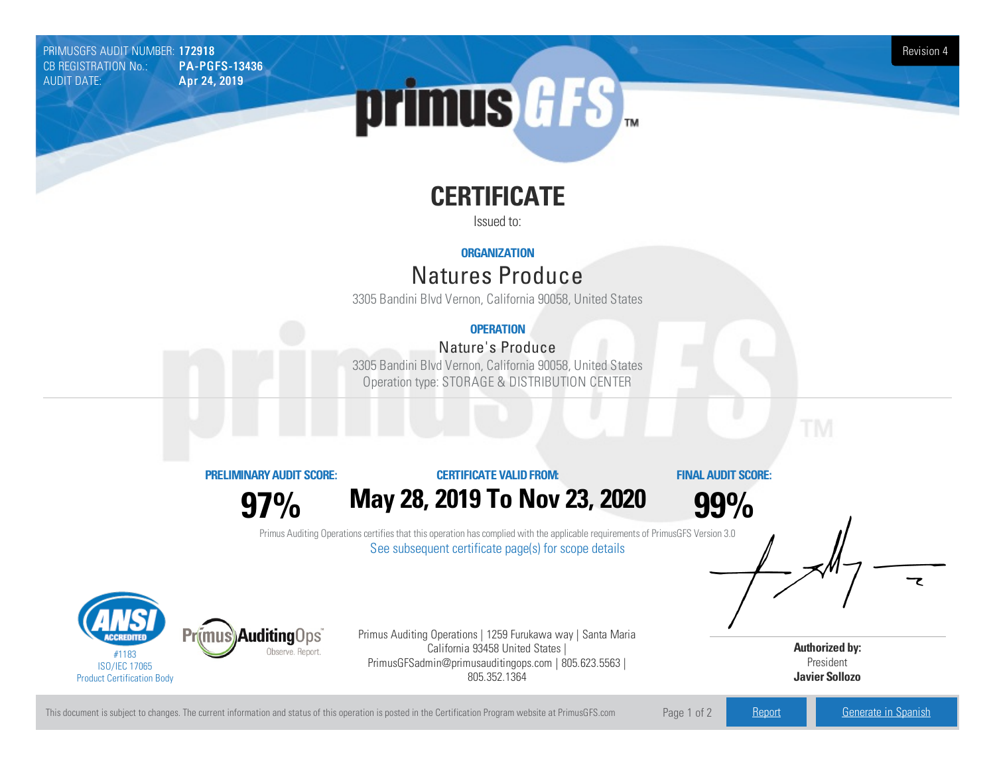PRIMUSGFS AUDIT NUMBER: 1**72918** Revision 4<br>CB REGISTRATION No.: PA-PGFS-13436 CB REGISTRATION No.:<br>AUDIT DATE: Apr 24, 2019

# primus GFS

## **CERTIFICATE**

Issued to:

#### **ORGANIZATION**

### Natures Produce

3305 Bandini Blvd Vernon, California90058, United States

#### **OPERATION**

#### Nature's Produce

3305 Bandini Blvd Vernon, California90058, United States Operation type: STORAGE & DISTRIBUTION CENTER

**PRELIMINARYAUDIT SCORE:**

#### **CERTIFICATE VALIDFROM:**

**FINAL AUDIT SCORE:**

**97%**

## **May28, 2019 To Nov23, 2020**

**99%**

Primus Auditing Operations certifies that this operation has complied with the applicable requirements of PrimusGFS Version 3.0 See subsequent certificate page(s) for scope details



Primus Auditing Operations | 1259 Furukawa way | Santa Maria California 93458 United States | PrimusGFSadmin@primusauditingops.com | 805.623.5563 | 805.352.1364

**Authorized by:** President **Javier Sollozo**

This document is subject to changes. The current information and status of this operation is posted in the Certification Program website at PrimusGFS.com Page 1 of 2 [Report](https://secure.azzule.com/PGFSDocuments/PGFS_AuditReport172918_5808_2_EN.pdf) [Generate](https://secure.azzule.com/PrimusGFSAudits/pdfGenerator.aspx?AuditHeaderID=65615613265304917892264538338426167348768&AppId=68731062815&LanguageID=1&UserId=1) in Spanish